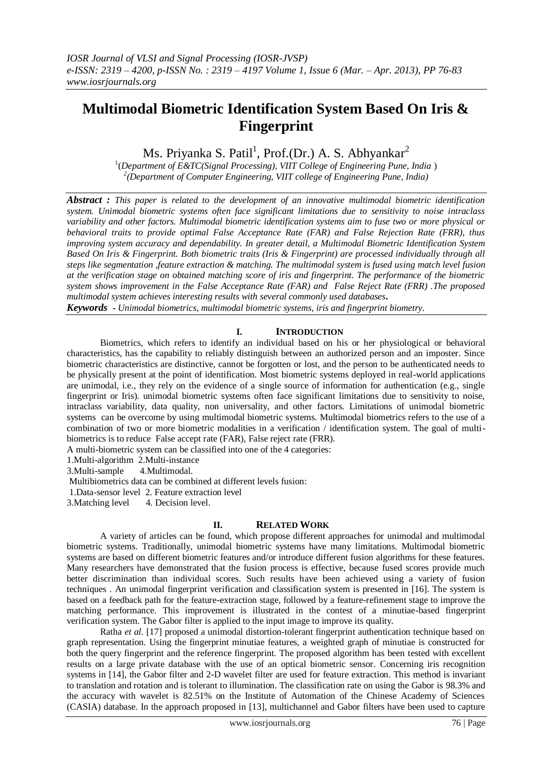# **Multimodal Biometric Identification System Based On Iris & Fingerprint**

Ms. Priyanka S. Patil<sup>1</sup>, Prof.(Dr.) A. S. Abhyankar<sup>2</sup>

1 (*Department of E&TC(Signal Processing), VIIT College of Engineering Pune, India* ) *2 (Department of Computer Engineering, VIIT college of Engineering Pune, India)*

*Abstract : This paper is related to the development of an innovative multimodal biometric identification system. Unimodal biometric systems often face significant limitations due to sensitivity to noise intraclass variability and other factors. Multimodal biometric identification systems aim to fuse two or more physical or behavioral traits to provide optimal False Acceptance Rate (FAR) and False Rejection Rate (FRR), thus improving system accuracy and dependability. In greater detail, a Multimodal Biometric Identification System Based On Iris & Fingerprint. Both biometric traits (Iris & Fingerprint) are processed individually through all steps like segmentation ,feature extraction & matching. The multimodal system is fused using match level fusion at the verification stage on obtained matching score of iris and fingerprint. The performance of the biometric system shows improvement in the False Acceptance Rate (FAR) and False Reject Rate (FRR) .The proposed multimodal system achieves interesting results with several commonly used databases.*

*Keywords - Unimodal biometrics, multimodal biometric systems, iris and fingerprint biometry.*

#### **I. INTRODUCTION**

Biometrics, which refers to identify an individual based on his or her physiological or behavioral characteristics, has the capability to reliably distinguish between an authorized person and an imposter. Since biometric characteristics are distinctive, cannot be forgotten or lost, and the person to be authenticated needs to be physically present at the point of identification. Most biometric systems deployed in real-world applications are unimodal, i.e., they rely on the evidence of a single source of information for authentication (e.g., single fingerprint or Iris). unimodal biometric systems often face significant limitations due to sensitivity to noise, intraclass variability, data quality, non universality, and other factors. Limitations of unimodal biometric systems can be overcome by using multimodal biometric systems. Multimodal biometrics refers to the use of a combination of two or more biometric modalities in a verification / identification system. The goal of multibiometrics is to reduce False accept rate (FAR), False reject rate (FRR).

A multi-biometric system can be classified into one of the 4 categories:

1.Multi-algorithm 2.Multi-instance

3.Multi-sample 4.Multimodal.

Multibiometrics data can be combined at different levels fusion:

1.Data-sensor level 2. Feature extraction level

3. Matching level 4. Decision level.

#### **II. RELATED WORK**

A variety of articles can be found, which propose different approaches for unimodal and multimodal biometric systems. Traditionally, unimodal biometric systems have many limitations. Multimodal biometric systems are based on different biometric features and/or introduce different fusion algorithms for these features. Many researchers have demonstrated that the fusion process is effective, because fused scores provide much better discrimination than individual scores. Such results have been achieved using a variety of fusion techniques . An unimodal fingerprint verification and classification system is presented in [16]. The system is based on a feedback path for the feature-extraction stage, followed by a feature-refinement stage to improve the matching performance. This improvement is illustrated in the contest of a minutiae-based fingerprint verification system. The Gabor filter is applied to the input image to improve its quality.

Ratha *et al.* [17] proposed a unimodal distortion-tolerant fingerprint authentication technique based on graph representation. Using the fingerprint minutiae features, a weighted graph of minutiae is constructed for both the query fingerprint and the reference fingerprint. The proposed algorithm has been tested with excellent results on a large private database with the use of an optical biometric sensor. Concerning iris recognition systems in [14], the Gabor filter and 2-D wavelet filter are used for feature extraction. This method is invariant to translation and rotation and is tolerant to illumination. The classification rate on using the Gabor is 98.3% and the accuracy with wavelet is 82.51% on the Institute of Automation of the Chinese Academy of Sciences (CASIA) database. In the approach proposed in [13], multichannel and Gabor filters have been used to capture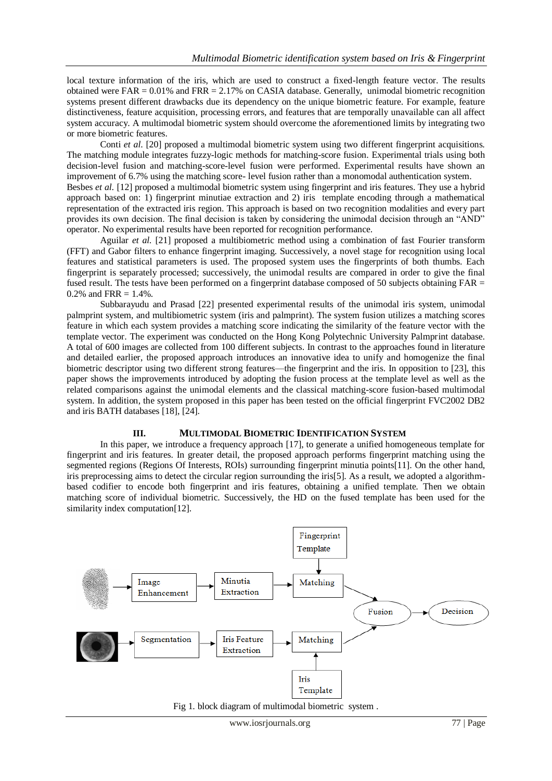local texture information of the iris, which are used to construct a fixed-length feature vector. The results obtained were  $FAR = 0.01\%$  and  $FRR = 2.17\%$  on CASIA database. Generally, unimodal biometric recognition systems present different drawbacks due its dependency on the unique biometric feature. For example, feature distinctiveness, feature acquisition, processing errors, and features that are temporally unavailable can all affect system accuracy. A multimodal biometric system should overcome the aforementioned limits by integrating two or more biometric features.

Conti *et al*. [20] proposed a multimodal biometric system using two different fingerprint acquisitions. The matching module integrates fuzzy-logic methods for matching-score fusion. Experimental trials using both decision-level fusion and matching-score-level fusion were performed. Experimental results have shown an improvement of 6.7% using the matching score- level fusion rather than a monomodal authentication system. Besbes *et al.* [12] proposed a multimodal biometric system using fingerprint and iris features. They use a hybrid approach based on: 1) fingerprint minutiae extraction and 2) iris template encoding through a mathematical representation of the extracted iris region. This approach is based on two recognition modalities and every part provides its own decision. The final decision is taken by considering the unimodal decision through an "AND" operator. No experimental results have been reported for recognition performance.

Aguilar *et al.* [21] proposed a multibiometric method using a combination of fast Fourier transform (FFT) and Gabor filters to enhance fingerprint imaging. Successively, a novel stage for recognition using local features and statistical parameters is used. The proposed system uses the fingerprints of both thumbs. Each fingerprint is separately processed; successively, the unimodal results are compared in order to give the final fused result. The tests have been performed on a fingerprint database composed of 50 subjects obtaining FAR = 0.2% and  $FRR = 1.4%$ .

Subbarayudu and Prasad [22] presented experimental results of the unimodal iris system, unimodal palmprint system, and multibiometric system (iris and palmprint). The system fusion utilizes a matching scores feature in which each system provides a matching score indicating the similarity of the feature vector with the template vector. The experiment was conducted on the Hong Kong Polytechnic University Palmprint database. A total of 600 images are collected from 100 different subjects. In contrast to the approaches found in literature and detailed earlier, the proposed approach introduces an innovative idea to unify and homogenize the final biometric descriptor using two different strong features—the fingerprint and the iris. In opposition to [23], this paper shows the improvements introduced by adopting the fusion process at the template level as well as the related comparisons against the unimodal elements and the classical matching-score fusion-based multimodal system. In addition, the system proposed in this paper has been tested on the official fingerprint FVC2002 DB2 and iris BATH databases [18], [24].

### **III. MULTIMODAL BIOMETRIC IDENTIFICATION SYSTEM**

In this paper, we introduce a frequency approach [17], to generate a unified homogeneous template for fingerprint and iris features. In greater detail, the proposed approach performs fingerprint matching using the segmented regions (Regions Of Interests, ROIs) surrounding fingerprint minutia points[11]. On the other hand, iris preprocessing aims to detect the circular region surrounding the iris[5]. As a result, we adopted a algorithmbased codifier to encode both fingerprint and iris features, obtaining a unified template. Then we obtain matching score of individual biometric. Successively, the HD on the fused template has been used for the similarity index computation[12].



Fig 1. block diagram of multimodal biometric system .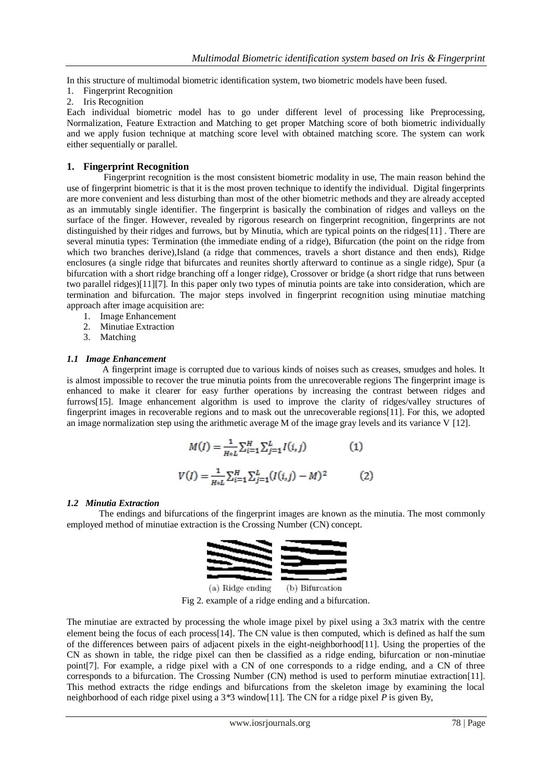In this structure of multimodal biometric identification system, two biometric models have been fused.

- 1. Fingerprint Recognition
- 2. Iris Recognition

Each individual biometric model has to go under different level of processing like Preprocessing, Normalization, Feature Extraction and Matching to get proper Matching score of both biometric individually and we apply fusion technique at matching score level with obtained matching score. The system can work either sequentially or parallel.

### **1. Fingerprint Recognition**

 Fingerprint recognition is the most consistent biometric modality in use, The main reason behind the use of fingerprint biometric is that it is the most proven technique to identify the individual. Digital fingerprints are more convenient and less disturbing than most of the other biometric methods and they are already accepted as an immutably single identifier. The fingerprint is basically the combination of ridges and valleys on the surface of the finger. However, revealed by rigorous research on fingerprint recognition, fingerprints are not distinguished by their ridges and furrows, but by Minutia, which are typical points on the ridges[11]. There are several minutia types: Termination (the immediate ending of a ridge), Bifurcation (the point on the ridge from which two branches derive),Island (a ridge that commences, travels a short distance and then ends), Ridge enclosures (a single ridge that bifurcates and reunites shortly afterward to continue as a single ridge), Spur (a bifurcation with a short ridge branching off a longer ridge), Crossover or bridge (a short ridge that runs between two parallel ridges)[11][7]. In this paper only two types of minutia points are take into consideration, which are termination and bifurcation. The major steps involved in fingerprint recognition using minutiae matching approach after image acquisition are:

- 1. Image Enhancement
- 2. Minutiae Extraction
- 3. Matching

#### *1.1 Image Enhancement*

A fingerprint image is corrupted due to various kinds of noises such as creases, smudges and holes. It is almost impossible to recover the true minutia points from the unrecoverable regions The fingerprint image is enhanced to make it clearer for easy further operations by increasing the contrast between ridges and furrows[15]. Image enhancement algorithm is used to improve the clarity of ridges/valley structures of fingerprint images in recoverable regions and to mask out the unrecoverable regions[11]. For this, we adopted an image normalization step using the arithmetic average M of the image gray levels and its variance V [12].

$$
M(I) = \frac{1}{H * L} \sum_{i=1}^{H} \sum_{j=1}^{L} I(i, j)
$$
(1)  

$$
V(I) = \frac{1}{H * L} \sum_{i=1}^{H} \sum_{j=1}^{L} (I(i, j) - M)^{2}
$$
(2)

#### *1.2 Minutia Extraction*

 The endings and bifurcations of the fingerprint images are known as the minutia. The most commonly employed method of minutiae extraction is the Crossing Number (CN) concept.



(a) Ridge ending (b) Bifurcation Fig 2. example of a ridge ending and a bifurcation.

The minutiae are extracted by processing the whole image pixel by pixel using a 3x3 matrix with the centre element being the focus of each process[14]. The CN value is then computed, which is defined as half the sum of the differences between pairs of adjacent pixels in the eight-neighborhood[11]. Using the properties of the CN as shown in table, the ridge pixel can then be classified as a ridge ending, bifurcation or non-minutiae point[7]. For example, a ridge pixel with a CN of one corresponds to a ridge ending, and a CN of three corresponds to a bifurcation. The Crossing Number (CN) method is used to perform minutiae extraction[11]. This method extracts the ridge endings and bifurcations from the skeleton image by examining the local neighborhood of each ridge pixel using a 3*\**3 window[11]. The CN for a ridge pixel *P* is given By,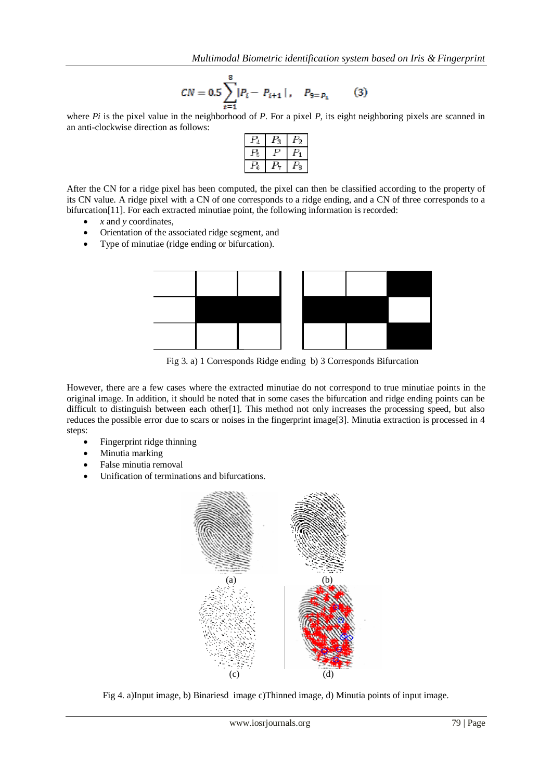$$
CN = 0.5 \sum_{t=1}^{8} |P_i - P_{i+1}|, \quad P_{9=P_1} \tag{3}
$$

where *Pi* is the pixel value in the neighborhood of *P*. For a pixel *P*, its eight neighboring pixels are scanned in an anti-clockwise direction as follows:

After the CN for a ridge pixel has been computed, the pixel can then be classified according to the property of its CN value. A ridge pixel with a CN of one corresponds to a ridge ending, and a CN of three corresponds to a bifurcation[11]. For each extracted minutiae point, the following information is recorded:

- *x* and *y* coordinates,
- Orientation of the associated ridge segment, and
- Type of minutiae (ridge ending or bifurcation).



Fig 3. a) 1 Corresponds Ridge ending b) 3 Corresponds Bifurcation

However, there are a few cases where the extracted minutiae do not correspond to true minutiae points in the original image. In addition, it should be noted that in some cases the bifurcation and ridge ending points can be difficult to distinguish between each other[1]. This method not only increases the processing speed, but also reduces the possible error due to scars or noises in the fingerprint image[3]. Minutia extraction is processed in 4 steps:

- Fingerprint ridge thinning
- Minutia marking
- False minutia removal
- Unification of terminations and bifurcations.



Fig 4. a)Input image, b) Binariesd image c)Thinned image, d) Minutia points of input image.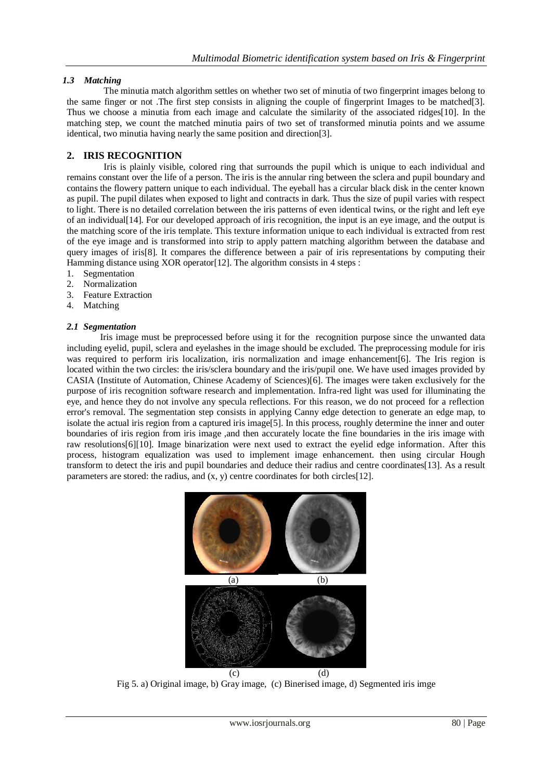## *1.3 Matching*

 The minutia match algorithm settles on whether two set of minutia of two fingerprint images belong to the same finger or not .The first step consists in aligning the couple of fingerprint Images to be matched[3]. Thus we choose a minutia from each image and calculate the similarity of the associated ridges[10]. In the matching step, we count the matched minutia pairs of two set of transformed minutia points and we assume identical, two minutia having nearly the same position and direction[3].

# **2. IRIS RECOGNITION**

 Iris is plainly visible, colored ring that surrounds the pupil which is unique to each individual and remains constant over the life of a person. The iris is the annular ring between the sclera and pupil boundary and contains the flowery pattern unique to each individual. The eyeball has a circular black disk in the center known as pupil. The pupil dilates when exposed to light and contracts in dark. Thus the size of pupil varies with respect to light. There is no detailed correlation between the iris patterns of even identical twins, or the right and left eye of an individual[14]. For our developed approach of iris recognition, the input is an eye image, and the output is the matching score of the iris template. This texture information unique to each individual is extracted from rest of the eye image and is transformed into strip to apply pattern matching algorithm between the database and query images of iris[8]. It compares the difference between a pair of iris representations by computing their Hamming distance using XOR operator [12]. The algorithm consists in 4 steps :

- 1. Segmentation
- 2. Normalization
- 3. Feature Extraction
- 4. Matching

#### *2.1 Segmentation*

Iris image must be preprocessed before using it for the recognition purpose since the unwanted data including eyelid, pupil, sclera and eyelashes in the image should be excluded. The preprocessing module for iris was required to perform iris localization, iris normalization and image enhancement [6]. The Iris region is located within the two circles: the iris/sclera boundary and the iris/pupil one. We have used images provided by CASIA (Institute of Automation, Chinese Academy of Sciences)[6]. The images were taken exclusively for the purpose of iris recognition software research and implementation. Infra-red light was used for illuminating the eye, and hence they do not involve any specula reflections. For this reason, we do not proceed for a reflection error's removal. The segmentation step consists in applying Canny edge detection to generate an edge map, to isolate the actual iris region from a captured iris image<sup>[5]</sup>. In this process, roughly determine the inner and outer boundaries of iris region from iris image ,and then accurately locate the fine boundaries in the iris image with raw resolutions[6][10]. Image binarization were next used to extract the eyelid edge information. After this process, histogram equalization was used to implement image enhancement. then using circular Hough transform to detect the iris and pupil boundaries and deduce their radius and centre coordinates[13]. As a result parameters are stored: the radius, and (x, y) centre coordinates for both circles[12].



Fig 5. a) Original image, b) Gray image, (c) Binerised image, d) Segmented iris imge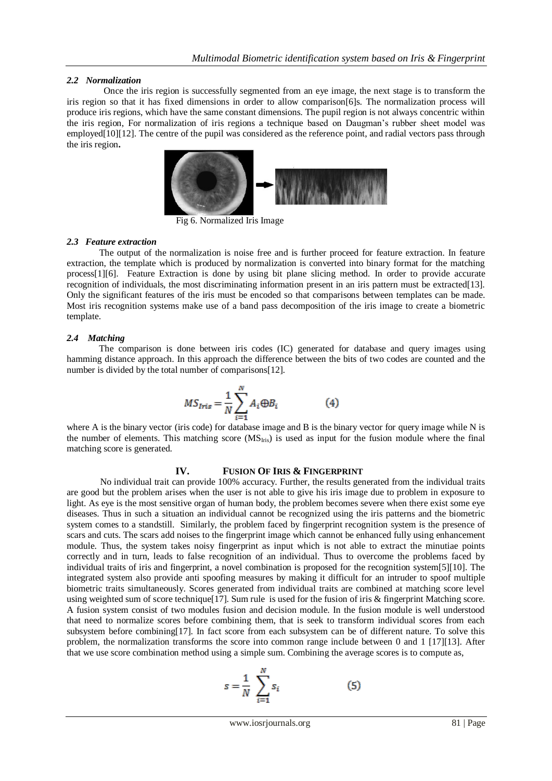#### *2.2 Normalization*

 Once the iris region is successfully segmented from an eye image, the next stage is to transform the iris region so that it has fixed dimensions in order to allow comparison[6]s. The normalization process will produce iris regions, which have the same constant dimensions. The pupil region is not always concentric within the iris region, For normalization of iris regions a technique based on Daugman's rubber sheet model was employed[10][12]. The centre of the pupil was considered as the reference point, and radial vectors pass through the iris region**.**



Fig 6. Normalized Iris Image

#### *2.3 Feature extraction*

 The output of the normalization is noise free and is further proceed for feature extraction. In feature extraction, the template which is produced by normalization is converted into binary format for the matching process[1][6]. Feature Extraction is done by using bit plane slicing method. In order to provide accurate recognition of individuals, the most discriminating information present in an iris pattern must be extracted[13]. Only the significant features of the iris must be encoded so that comparisons between templates can be made. Most iris recognition systems make use of a band pass decomposition of the iris image to create a biometric template.

#### *2.4 Matching*

 The comparison is done between iris codes (IC) generated for database and query images using hamming distance approach. In this approach the difference between the bits of two codes are counted and the number is divided by the total number of comparisons[12].

$$
MS_{Iris} = \frac{1}{N} \sum_{i=1}^{N} A_i \oplus B_i
$$
 (4)

where A is the binary vector (iris code) for database image and B is the binary vector for query image while N is the number of elements. This matching score  $(MS<sub>lris</sub>)$  is used as input for the fusion module where the final matching score is generated.

#### **IV. FUSION OF IRIS & FINGERPRINT**

No individual trait can provide 100% accuracy. Further, the results generated from the individual traits are good but the problem arises when the user is not able to give his iris image due to problem in exposure to light. As eye is the most sensitive organ of human body, the problem becomes severe when there exist some eye diseases. Thus in such a situation an individual cannot be recognized using the iris patterns and the biometric system comes to a standstill. Similarly, the problem faced by fingerprint recognition system is the presence of scars and cuts. The scars add noises to the fingerprint image which cannot be enhanced fully using enhancement module. Thus, the system takes noisy fingerprint as input which is not able to extract the minutiae points correctly and in turn, leads to false recognition of an individual. Thus to overcome the problems faced by individual traits of iris and fingerprint, a novel combination is proposed for the recognition system[5][10]. The integrated system also provide anti spoofing measures by making it difficult for an intruder to spoof multiple biometric traits simultaneously. Scores generated from individual traits are combined at matching score level using weighted sum of score technique<sup>[17]</sup>. Sum rule is used for the fusion of iris & fingerprint Matching score. A fusion system consist of two modules fusion and decision module. In the fusion module is well understood that need to normalize scores before combining them, that is seek to transform individual scores from each subsystem before combining[17]. In fact score from each subsystem can be of different nature. To solve this problem, the normalization transforms the score into common range include between 0 and 1 [17][13]. After that we use score combination method using a simple sum. Combining the average scores is to compute as,

$$
s = \frac{1}{N} \sum_{i=1}^{N} s_i
$$
 (5)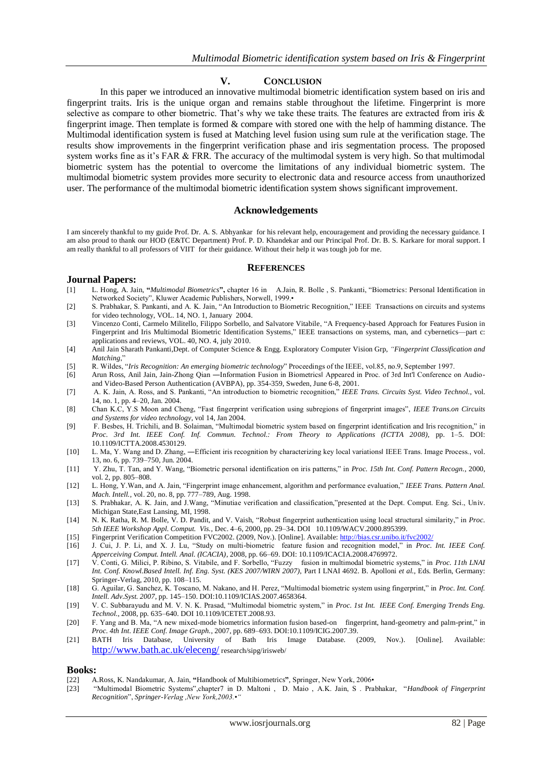#### **V. CONCLUSION**

In this paper we introduced an innovative multimodal biometric identification system based on iris and fingerprint traits. Iris is the unique organ and remains stable throughout the lifetime. Fingerprint is more selective as compare to other biometric. That's why we take these traits. The features are extracted from iris  $\&$ fingerprint image. Then template is formed & compare with stored one with the help of hamming distance. The Multimodal identification system is fused at Matching level fusion using sum rule at the verification stage. The results show improvements in the fingerprint verification phase and iris segmentation process. The proposed system works fine as it's FAR & FRR. The accuracy of the multimodal system is very high. So that multimodal biometric system has the potential to overcome the limitations of any individual biometric system. The multimodal biometric system provides more security to electronic data and resource access from unauthorized user. The performance of the multimodal biometric identification system shows significant improvement.

#### **Acknowledgements**

I am sincerely thankful to my guide Prof. Dr. A. S. Abhyankar for his relevant help, encouragement and providing the necessary guidance. I am also proud to thank our HOD (E&TC Department) Prof. P. D. Khandekar and our Principal Prof. Dr. B. S. Karkare for moral support. I am really thankful to all professors of VIIT for their guidance. Without their help it was tough job for me.

#### **REFERENCES**

#### **Journal Papers:**

- [1] L. Hong, A. Jain, **"***Multimodal Biometrics***",** chapter 16 in A.Jain, R. Bolle , S. Pankanti, ―Biometrics: Personal Identification in Networked Society", Kluwer Academic Publishers, Norwell, 1999.•
- [2] S. Prabhakar, S. Pankanti, and A. K. Jain, "An Introduction to Biometric Recognition," IEEE Transactions on circuits and systems for video technology, VOL. 14, NO. 1, January 2004.
- [3] Vincenzo Conti, Carmelo Militello, Filippo Sorbello, and Salvatore Vitabile, "A Frequency-based Approach for Features Fusion in Fingerprint and Iris Multimodal Biometric Identification Systems," IEEE transactions on systems, man, and cybernetics—part c: applications and reviews, VOL. 40, NO. 4, july 2010.
- [4] Anil Jain Sharath Pankanti,Dept. of Computer Science & Engg. Exploratory Computer Vision Grp, *"Fingerprint Classification and Matching*,‖
- [5] R. Wildes, "Iris Recognition: An emerging biometric technology" Proceedings of the IEEE, vol.85, no.9, September 1997.
- [6] Arun Ross, Anil Jain, Jain-Zhong Qian ―Information Fusion in Biometrics‖ Appeared in Proc. of 3rd Int'l Conference on Audioand Video-Based Person Authentication (AVBPA), pp. 354-359, Sweden, June 6-8, 2001.
- [7] A. K. Jain, A. Ross, and S. Pankanti, "An introduction to biometric recognition," *IEEE Trans. Circuits Syst. Video Technol.*, vol. 14, no. 1, pp. 4–20, Jan. 2004.
- [8] Chan K.C, Y.S Moon and Cheng, "Fast fingerprint verification using subregions of fingerprint images", *IEEE Trans.on Circuits and Systems for video technology*, vol 14, Jan 2004.
- [9] F. Besbes, H. Trichili, and B. Solaiman, "Multimodal biometric system based on fingerprint identification and Iris recognition," in *Proc. 3rd Int. IEEE Conf. Inf. Commun. Technol.: From Theory to Applications (ICTTA 2008)*, pp. 1–5. DOI: 10.1109/ICTTA.2008.4530129.
- [10] L. Ma, Y. Wang and D. Zhang, ―Efficient iris recognition by characterizing key local variations‖ IEEE Trans. Image Process., vol. 13, no. 6, pp. 739–750, Jun. 2004.
- [11] Y. Zhu, T. Tan, and Y. Wang, "Biometric personal identification on iris patterns," in *Proc. 15th Int. Conf. Pattern Recogn.*, 2000, vol. 2, pp. 805–808.
- [12] L. Hong, Y. Wan, and A. Jain, "Fingerprint image enhancement, algorithm and performance evaluation," IEEE Trans. Pattern Anal. *Mach. Intell.*, vol. 20, no. 8, pp. 777–789, Aug. 1998.
- [13] S. Prabhakar, A. K. Jain, and J. Wang, "Minutiae verification and classification,"presented at the Dept. Comput. Eng. Sci., Univ. Michigan State,East Lansing, MI, 1998.
- [14] N. K. Ratha, R. M. Bolle, V. D. Pandit, and V. Vaish, "Robust fingerprint authentication using local structural similarity," in Proc. *5th IEEE Workshop Appl. Comput. Vis.*, Dec. 4–6, 2000, pp. 29–34. DOI 10.1109/WACV.2000.895399.
- [15] Fingerprint Verification Competition FVC2002. (2009, Nov.). [Online]. Available[: http://bias.csr.unibo.it/fvc2002/](http://bias.csr.unibo.it/fvc2002/)
- [16] J. Cui, J. P. Li, and X. J. Lu, "Study on multi-biometric feature fusion and recognition model," in *Proc. Int. IEEE Conf. Apperceiving Comput. Intell. Anal. (ICACIA)*, 2008, pp. 66–69. DOI: 10.1109/ICACIA.2008.4769972.
- [17] V. Conti, G. Milici, P. Ribino, S. Vitabile, and F. Sorbello, "Fuzzy fusion in multimodal biometric systems," in *Proc. 11th LNAI Int. Conf. Knowl.Based Intell. Inf. Eng. Syst. (KES 2007/WIRN 2007),* Part I LNAI 4692. B. Apolloni *et al.,* Eds. Berlin, Germany: Springer-Verlag, 2010, pp. 108–115.
- [18] G. Aguilar, G. Sanchez, K. Toscano, M. Nakano, and H. Perez, "Multimodal biometric system using fingerprint," in *Proc. Int. Conf. Intell. Adv.Syst. 2007*, pp. 145–150. DOI:10.1109/ICIAS.2007.4658364.
- [19] V. C. Subbarayudu and M. V. N. K. Prasad, "Multimodal biometric system," in *Proc. 1st Int. IEEE Conf. Emerging Trends Eng. Technol.*, 2008, pp. 635–640. DOI 10.1109/ICETET.2008.93.
- [20] F. Yang and B. Ma, "A new mixed-mode biometrics information fusion based-on fingerprint, hand-geometry and palm-print," in *Proc. 4th Int. IEEE Conf. Image Graph.*, 2007, pp. 689–693. DOI:10.1109/ICIG.2007.39.
- [21] BATH Iris Database, University of Bath Iris Image Database. (2009, Nov.). [Online]. Available: <http://www.bath.ac.uk/eleceng/> research/sipg/irisweb/

# **Books:**<br>[22] A

- [22] A.Ross, K. Nandakumar, A. Jain, **"**Handbook of Multibiometrics**"**, Springer, New York, 2006•
- [23] ―Multimodal Biometric Systems‖,chapter7 in D. Maltoni , D. Maio , A.K. Jain, S . Prabhakar, ―*Handbook of Fingerprint Recognition*‖, *Springer-Verlag ,New York,2003.•"*